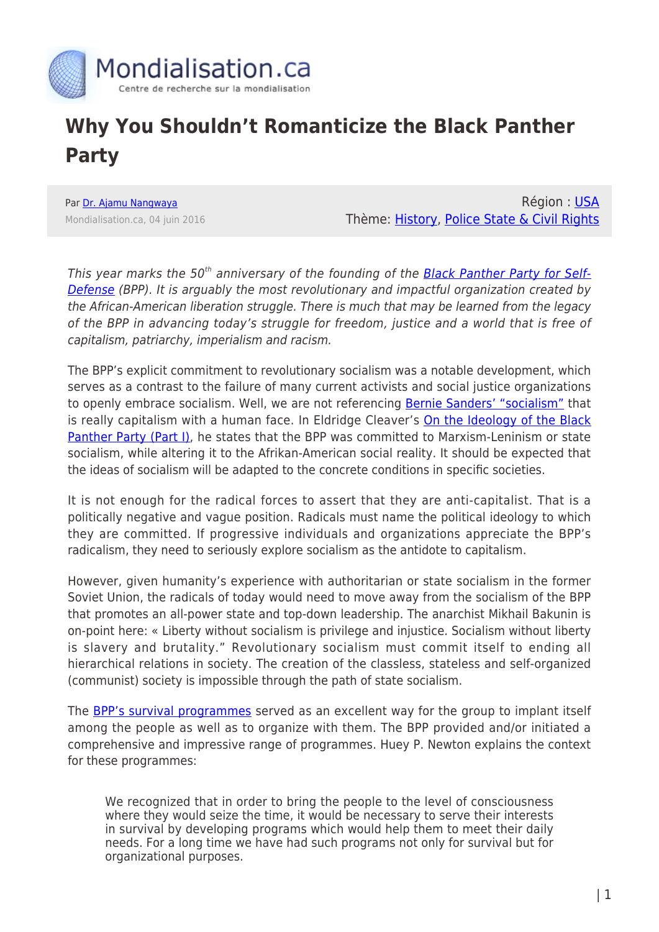

## **Why You Shouldn't Romanticize the Black Panther Party**

Par [Dr. Ajamu Nangwaya](https://www.mondialisation.ca/author/ajamu) Mondialisation.ca, 04 juin 2016

Région : [USA](https://www.mondialisation.ca/region/usa) Thème: [History](https://www.mondialisation.ca/theme/culture-society-history), [Police State & Civil Rights](https://www.mondialisation.ca/theme/police-state-civil-rights)

This year marks the 50<sup>th</sup> anniversary of the founding of the [Black Panther Party for Self-](https://www.marxists.org/history/usa/workers/black-panthers/)[Defense](https://www.marxists.org/history/usa/workers/black-panthers/) (BPP). It is arguably the most revolutionary and impactful organization created by the African-American liberation struggle. There is much that may be learned from the legacy of the BPP in advancing today's struggle for freedom, justice and a world that is free of capitalism, patriarchy, imperialism and racism.

The BPP's explicit commitment to revolutionary socialism was a notable development, which serves as a contrast to the failure of many current activists and social justice organizations to openly embrace socialism. Well, we are not referencing **Bernie Sanders' "socialism"** that is really capitalism with a human face. In Eldridge Cleaver's [On the Ideology of the Black](http://www.freedomarchives.org/Documents/Finder/Black%20Liberation%20Disk/Black%20Power!/SugahData/Books/Cleaver.S.pdf) [Panther Party \(Part I\),](http://www.freedomarchives.org/Documents/Finder/Black%20Liberation%20Disk/Black%20Power!/SugahData/Books/Cleaver.S.pdf) he states that the BPP was committed to Marxism-Leninism or state socialism, while altering it to the Afrikan-American social reality. It should be expected that the ideas of socialism will be adapted to the concrete conditions in specific societies.

It is not enough for the radical forces to assert that they are anti-capitalist. That is a politically negative and vague position. Radicals must name the political ideology to which they are committed. If progressive individuals and organizations appreciate the BPP's radicalism, they need to seriously explore socialism as the antidote to capitalism.

However, given humanity's experience with authoritarian or state socialism in the former Soviet Union, the radicals of today would need to move away from the socialism of the BPP that promotes an all-power state and top-down leadership. The anarchist Mikhail Bakunin is on-point here: « Liberty without socialism is privilege and injustice. Socialism without liberty is slavery and brutality." Revolutionary socialism must commit itself to ending all hierarchical relations in society. The creation of the classless, stateless and self-organized (communist) society is impossible through the path of state socialism.

The [BPP's survival programmes](http://www.caringlabor.files.wordpress.com/2010/09/hilliard-ed-the-black-panther-party-service-to-the-people-programs.pdf) served as an excellent way for the group to implant itself among the people as well as to organize with them. The BPP provided and/or initiated a comprehensive and impressive range of programmes. Huey P. Newton explains the context for these programmes:

We recognized that in order to bring the people to the level of consciousness where they would seize the time, it would be necessary to serve their interests in survival by developing programs which would help them to meet their daily needs. For a long time we have had such programs not only for survival but for organizational purposes.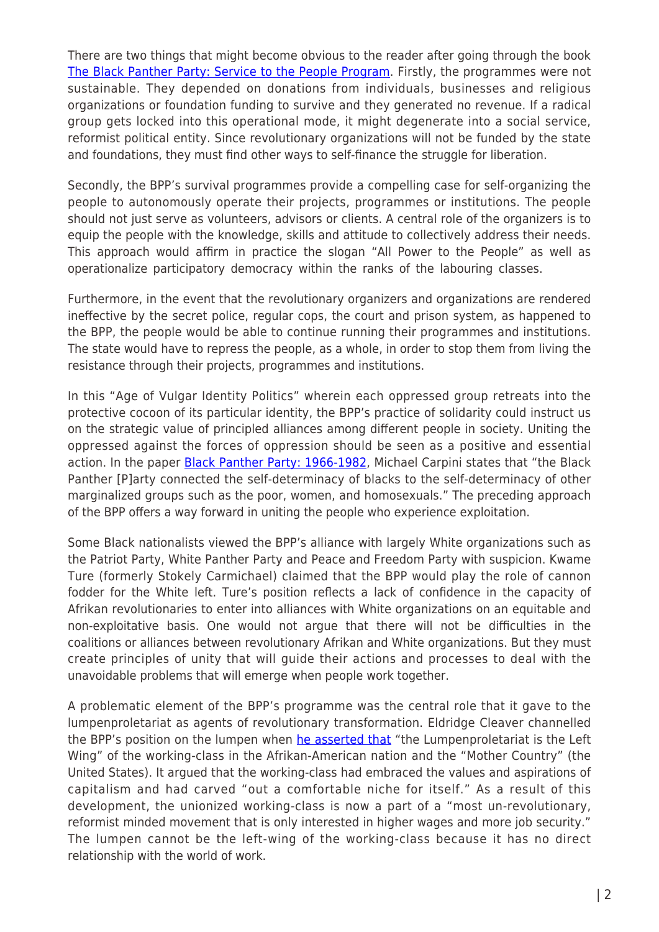There are two things that might become obvious to the reader after going through the book [The Black Panther Party: Service to the People Program](http://www.caringlabor.files.wordpress.com/2010/09/hilliard-ed-the-black-panther-party-service-to-the-people-programs.pdf). Firstly, the programmes were not sustainable. They depended on donations from individuals, businesses and religious organizations or foundation funding to survive and they generated no revenue. If a radical group gets locked into this operational mode, it might degenerate into a social service, reformist political entity. Since revolutionary organizations will not be funded by the state and foundations, they must find other ways to self-finance the struggle for liberation.

Secondly, the BPP's survival programmes provide a compelling case for self-organizing the people to autonomously operate their projects, programmes or institutions. The people should not just serve as volunteers, advisors or clients. A central role of the organizers is to equip the people with the knowledge, skills and attitude to collectively address their needs. This approach would affirm in practice the slogan "All Power to the People" as well as operationalize participatory democracy within the ranks of the labouring classes.

Furthermore, in the event that the revolutionary organizers and organizations are rendered ineffective by the secret police, regular cops, the court and prison system, as happened to the BPP, the people would be able to continue running their programmes and institutions. The state would have to repress the people, as a whole, in order to stop them from living the resistance through their projects, programmes and institutions.

In this "Age of Vulgar Identity Politics" wherein each oppressed group retreats into the protective cocoon of its particular identity, the BPP's practice of solidarity could instruct us on the strategic value of principled alliances among different people in society. Uniting the oppressed against the forces of oppression should be seen as a positive and essential action. In the paper **[Black Panther Party: 1966-1982](http://repository.upenn.edu/do/search/?q=author_lname%3A%22Delli%20Carpini%22%20author_fname%3A%22Michael%22&start=0&context=19929)**, Michael Carpini states that "the Black Panther [P]arty connected the self-determinacy of blacks to the self-determinacy of other marginalized groups such as the poor, women, and homosexuals." The preceding approach of the BPP offers a way forward in uniting the people who experience exploitation.

Some Black nationalists viewed the BPP's alliance with largely White organizations such as the Patriot Party, White Panther Party and Peace and Freedom Party with suspicion. Kwame Ture (formerly Stokely Carmichael) claimed that the BPP would play the role of cannon fodder for the White left. Ture's position reflects a lack of confidence in the capacity of Afrikan revolutionaries to enter into alliances with White organizations on an equitable and non-exploitative basis. One would not argue that there will not be difficulties in the coalitions or alliances between revolutionary Afrikan and White organizations. But they must create principles of unity that will guide their actions and processes to deal with the unavoidable problems that will emerge when people work together.

A problematic element of the BPP's programme was the central role that it gave to the lumpenproletariat as agents of revolutionary transformation. Eldridge Cleaver channelled the BPP's position on the lumpen when [he asserted that](http://www.freedomarchives.org/Documents/Finder/Black%20Liberation%20Disk/Black%20Power!/SugahData/Books/Cleaver.S.pdf) "the Lumpenproletariat is the Left Wing" of the working-class in the Afrikan-American nation and the "Mother Country" (the United States). It argued that the working-class had embraced the values and aspirations of capitalism and had carved "out a comfortable niche for itself." As a result of this development, the unionized working-class is now a part of a "most un-revolutionary, reformist minded movement that is only interested in higher wages and more job security." The lumpen cannot be the left-wing of the working-class because it has no direct relationship with the world of work.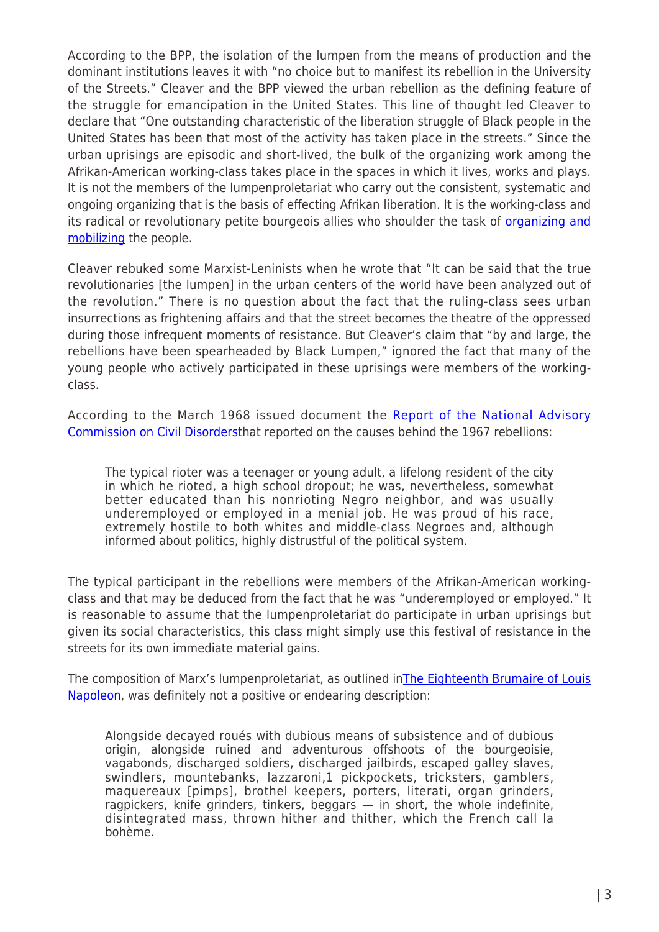According to the BPP, the isolation of the lumpen from the means of production and the dominant institutions leaves it with "no choice but to manifest its rebellion in the University of the Streets." Cleaver and the BPP viewed the urban rebellion as the defining feature of the struggle for emancipation in the United States. This line of thought led Cleaver to declare that "One outstanding characteristic of the liberation struggle of Black people in the United States has been that most of the activity has taken place in the streets." Since the urban uprisings are episodic and short-lived, the bulk of the organizing work among the Afrikan-American working-class takes place in the spaces in which it lives, works and plays. It is not the members of the lumpenproletariat who carry out the consistent, systematic and ongoing organizing that is the basis of effecting Afrikan liberation. It is the working-class and its radical or revolutionary petite bourgeois allies who shoulder the task of **[organizing and](http://rabble.ca/news/2014/08/if-organizing-weapon-oppressed-why-are-we-stuck-on-mobilizing)** [mobilizing](http://rabble.ca/news/2014/08/if-organizing-weapon-oppressed-why-are-we-stuck-on-mobilizing) the people.

Cleaver rebuked some Marxist-Leninists when he wrote that "It can be said that the true revolutionaries [the lumpen] in the urban centers of the world have been analyzed out of the revolution." There is no question about the fact that the ruling-class sees urban insurrections as frightening affairs and that the street becomes the theatre of the oppressed during those infrequent moments of resistance. But Cleaver's claim that "by and large, the rebellions have been spearheaded by Black Lumpen," ignored the fact that many of the young people who actively participated in these uprisings were members of the workingclass.

According to the March 1968 issued document the [Report of the National Advisory](https://www.ncjrs.gov/pdffiles1/Digitization/8073NCJRS.pdf) [Commission on Civil Disorders](https://www.ncjrs.gov/pdffiles1/Digitization/8073NCJRS.pdf)that reported on the causes behind the 1967 rebellions:

The typical rioter was a teenager or young adult, a lifelong resident of the city in which he rioted, a high school dropout; he was, nevertheless, somewhat better educated than his nonrioting Negro neighbor, and was usually underemployed or employed in a menial job. He was proud of his race, extremely hostile to both whites and middle-class Negroes and, although informed about politics, highly distrustful of the political system.

The typical participant in the rebellions were members of the Afrikan-American workingclass and that may be deduced from the fact that he was "underemployed or employed." It is reasonable to assume that the lumpenproletariat do participate in urban uprisings but given its social characteristics, this class might simply use this festival of resistance in the streets for its own immediate material gains.

The composition of Marx's lumpenproletariat, as outlined i[nThe Eighteenth Brumaire of Louis](https://www.marxists.org/archive/marx/works/download/pdf/18th-Brumaire.pdf) [Napoleon](https://www.marxists.org/archive/marx/works/download/pdf/18th-Brumaire.pdf), was definitely not a positive or endearing description:

Alongside decayed roués with dubious means of subsistence and of dubious origin, alongside ruined and adventurous offshoots of the bourgeoisie, vagabonds, discharged soldiers, discharged jailbirds, escaped galley slaves, swindlers, mountebanks, lazzaroni,1 pickpockets, tricksters, gamblers, maquereaux [pimps], brothel keepers, porters, literati, organ grinders, ragpickers, knife grinders, tinkers, beggars — in short, the whole indefinite, disintegrated mass, thrown hither and thither, which the French call la bohème.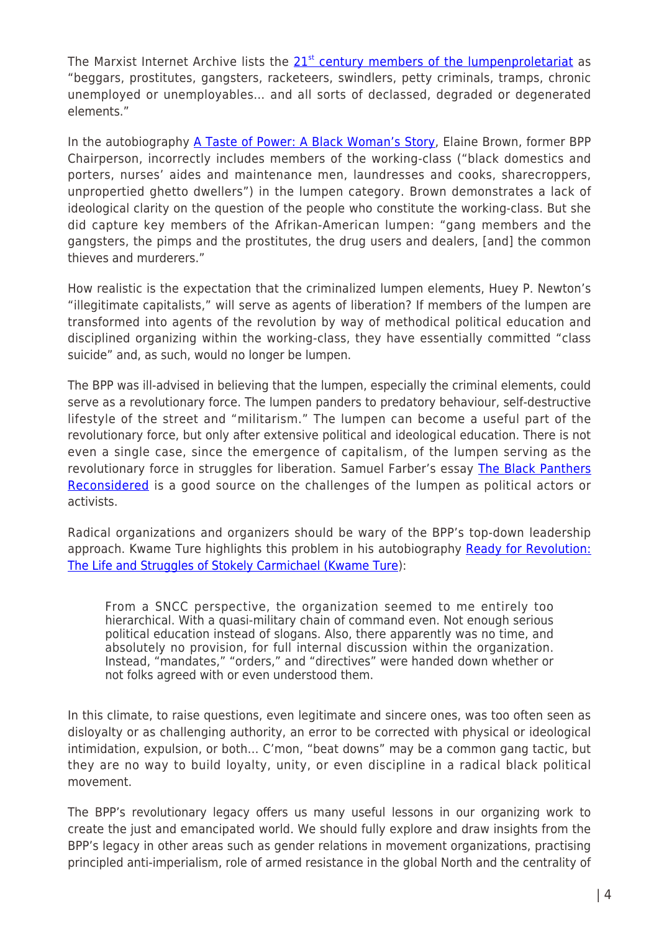The Marxi[st](https://www.marxists.org/glossary/terms/l/u.htm) Internet Archive lists the  $21<sup>st</sup>$  [century members of the lumpenproletariat](https://www.marxists.org/glossary/terms/l/u.htm) as "beggars, prostitutes, gangsters, racketeers, swindlers, petty criminals, tramps, chronic unemployed or unemployables… and all sorts of declassed, degraded or degenerated elements."

In the autobiography [A Taste of Power: A Black Woman's Story](https://www.amazon.ca/Taste-Power-Black-Womans-Story/dp/0385471076/ref=sr_1_1?s=books&ie=UTF8&qid=1464809237&sr=1-1&keywords=Taste+of+Power+and+Elaine+Brown), Elaine Brown, former BPP Chairperson, incorrectly includes members of the working-class ("black domestics and porters, nurses' aides and maintenance men, laundresses and cooks, sharecroppers, unpropertied ghetto dwellers") in the lumpen category. Brown demonstrates a lack of ideological clarity on the question of the people who constitute the working-class. But she did capture key members of the Afrikan-American lumpen: "gang members and the gangsters, the pimps and the prostitutes, the drug users and dealers, [and] the common thieves and murderers."

How realistic is the expectation that the criminalized lumpen elements, Huey P. Newton's "illegitimate capitalists," will serve as agents of liberation? If members of the lumpen are transformed into agents of the revolution by way of methodical political education and disciplined organizing within the working-class, they have essentially committed "class suicide" and, as such, would no longer be lumpen.

The BPP was ill-advised in believing that the lumpen, especially the criminal elements, could serve as a revolutionary force. The lumpen panders to predatory behaviour, self-destructive lifestyle of the street and "militarism." The lumpen can become a useful part of the revolutionary force, but only after extensive political and ideological education. There is not even a single case, since the emergence of capitalism, of the lumpen serving as the revolutionary force in struggles for liberation. Samuel Farber's essay [The Black Panthers](https://www.solidarity-us.org/node/2339) [Reconsidered](https://www.solidarity-us.org/node/2339) is a good source on the challenges of the lumpen as political actors or activists.

Radical organizations and organizers should be wary of the BPP's top-down leadership approach. Kwame Ture highlights this problem in his autobiography [Ready for Revolution:](https://www.amazon.ca/Ready-Revolution-Struggles-Stokely-Carmichael/dp/0684850044) [The Life and Struggles of Stokely Carmichael \(Kwame Ture\)](https://www.amazon.ca/Ready-Revolution-Struggles-Stokely-Carmichael/dp/0684850044):

From a SNCC perspective, the organization seemed to me entirely too hierarchical. With a quasi-military chain of command even. Not enough serious political education instead of slogans. Also, there apparently was no time, and absolutely no provision, for full internal discussion within the organization. Instead, "mandates," "orders," and "directives" were handed down whether or not folks agreed with or even understood them.

In this climate, to raise questions, even legitimate and sincere ones, was too often seen as disloyalty or as challenging authority, an error to be corrected with physical or ideological intimidation, expulsion, or both… C'mon, "beat downs" may be a common gang tactic, but they are no way to build loyalty, unity, or even discipline in a radical black political movement.

The BPP's revolutionary legacy offers us many useful lessons in our organizing work to create the just and emancipated world. We should fully explore and draw insights from the BPP's legacy in other areas such as gender relations in movement organizations, practising principled anti-imperialism, role of armed resistance in the global North and the centrality of